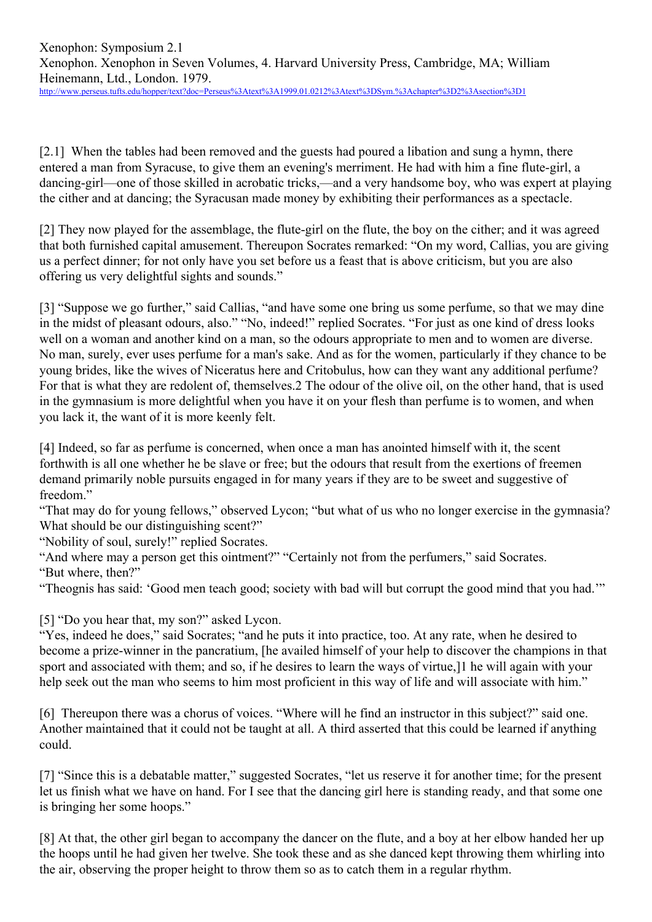[2.1] When the tables had been removed and the guests had poured a libation and sung a hymn, there entered a man from Syracuse, to give them an evening's merriment. He had with him a fine flute-girl, a dancing-girl—one of those skilled in acrobatic tricks,—and a very handsome boy, who was expert at playing the cither and at dancing; the Syracusan made money by exhibiting their performances as a spectacle.

[2] They now played for the assemblage, the flute-girl on the flute, the boy on the cither; and it was agreed that both furnished capital amusement. Thereupon Socrates remarked: "On my word, Callias, you are giving us a perfect dinner; for not only have you set before us a feast that is above criticism, but you are also offering us very delightful sights and sounds."

[3] "Suppose we go further," said Callias, "and have some one bring us some perfume, so that we may dine in the midst of pleasant odours, also." "No, indeed!" replied Socrates. "For just as one kind of dress looks well on a woman and another kind on a man, so the odours appropriate to men and to women are diverse. No man, surely, ever uses perfume for a man's sake. And as for the women, particularly if they chance to be young brides, like the wives of Niceratus here and Critobulus, how can they want any additional perfume? For that is what they are redolent of, themselves.2 The odour of the olive oil, on the other hand, that is used in the gymnasium is more delightful when you have it on your flesh than perfume is to women, and when you lack it, the want of it is more keenly felt.

[4] Indeed, so far as perfume is concerned, when once a man has anointed himself with it, the scent forthwith is all one whether he be slave or free; but the odours that result from the exertions of freemen demand primarily noble pursuits engaged in for many years if they are to be sweet and suggestive of freedom."

"That may do for young fellows," observed Lycon; "but what of us who no longer exercise in the gymnasia? What should be our distinguishing scent?"

"Nobility of soul, surely!" replied Socrates.

"And where may a person get this ointment?" "Certainly not from the perfumers," said Socrates. "But where, then?"

"Theognis has said: 'Good men teach good; society with bad will but corrupt the good mind that you had.'"

[5] "Do you hear that, my son?" asked Lycon.

"Yes, indeed he does," said Socrates; "and he puts it into practice, too. At any rate, when he desired to become a prize-winner in the pancratium, [he availed himself of your help to discover the champions in that sport and associated with them; and so, if he desires to learn the ways of virtue,]1 he will again with your help seek out the man who seems to him most proficient in this way of life and will associate with him."

[6] Thereupon there was a chorus of voices. "Where will he find an instructor in this subject?" said one. Another maintained that it could not be taught at all. A third asserted that this could be learned if anything could.

[7] "Since this is a debatable matter," suggested Socrates, "let us reserve it for another time; for the present let us finish what we have on hand. For I see that the dancing girl here is standing ready, and that some one is bringing her some hoops."

[8] At that, the other girl began to accompany the dancer on the flute, and a boy at her elbow handed her up the hoops until he had given her twelve. She took these and as she danced kept throwing them whirling into the air, observing the proper height to throw them so as to catch them in a regular rhythm.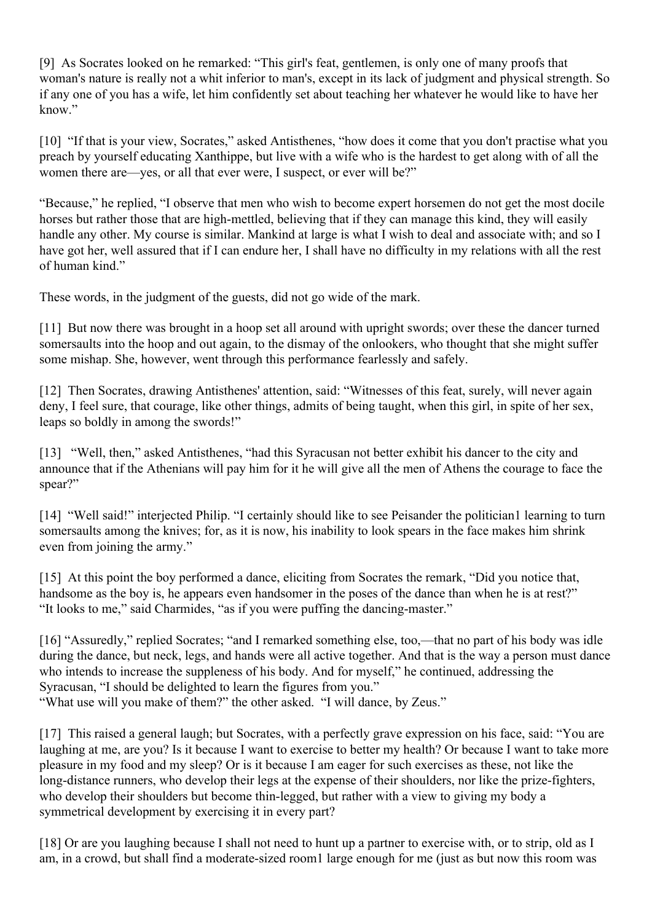[9] As Socrates looked on he remarked: "This girl's feat, gentlemen, is only one of many proofs that woman's nature is really not a whit inferior to man's, except in its lack of judgment and physical strength. So if any one of you has a wife, let him confidently set about teaching her whatever he would like to have her know."

[10] "If that is your view, Socrates," asked Antisthenes, "how does it come that you don't practise what you preach by yourself educating Xanthippe, but live with a wife who is the hardest to get along with of all the women there are—yes, or all that ever were, I suspect, or ever will be?"

"Because," he replied, "I observe that men who wish to become expert horsemen do not get the most docile horses but rather those that are high-mettled, believing that if they can manage this kind, they will easily handle any other. My course is similar. Mankind at large is what I wish to deal and associate with; and so I have got her, well assured that if I can endure her, I shall have no difficulty in my relations with all the rest of human kind."

These words, in the judgment of the guests, did not go wide of the mark.

[11] But now there was brought in a hoop set all around with upright swords; over these the dancer turned somersaults into the hoop and out again, to the dismay of the onlookers, who thought that she might suffer some mishap. She, however, went through this performance fearlessly and safely.

[12] Then Socrates, drawing Antisthenes' attention, said: "Witnesses of this feat, surely, will never again deny, I feel sure, that courage, like other things, admits of being taught, when this girl, in spite of her sex, leaps so boldly in among the swords!"

[13] "Well, then," asked Antisthenes, "had this Syracusan not better exhibit his dancer to the city and announce that if the Athenians will pay him for it he will give all the men of Athens the courage to face the spear?"

[14] "Well said!" interjected Philip. "I certainly should like to see Peisander the politician1 learning to turn somersaults among the knives; for, as it is now, his inability to look spears in the face makes him shrink even from joining the army."

[15] At this point the boy performed a dance, eliciting from Socrates the remark, "Did you notice that, handsome as the boy is, he appears even handsomer in the poses of the dance than when he is at rest?" "It looks to me," said Charmides, "as if you were puffing the dancing-master."

[16] "Assuredly," replied Socrates; "and I remarked something else, too,—that no part of his body was idle during the dance, but neck, legs, and hands were all active together. And that is the way a person must dance who intends to increase the suppleness of his body. And for myself," he continued, addressing the Syracusan, "I should be delighted to learn the figures from you."

"What use will you make of them?" the other asked. "I will dance, by Zeus."

[17] This raised a general laugh; but Socrates, with a perfectly grave expression on his face, said: "You are laughing at me, are you? Is it because I want to exercise to better my health? Or because I want to take more pleasure in my food and my sleep? Or is it because I am eager for such exercises as these, not like the long-distance runners, who develop their legs at the expense of their shoulders, nor like the prize-fighters, who develop their shoulders but become thin-legged, but rather with a view to giving my body a symmetrical development by exercising it in every part?

[18] Or are you laughing because I shall not need to hunt up a partner to exercise with, or to strip, old as I am, in a crowd, but shall find a moderate-sized room1 large enough for me (just as but now this room was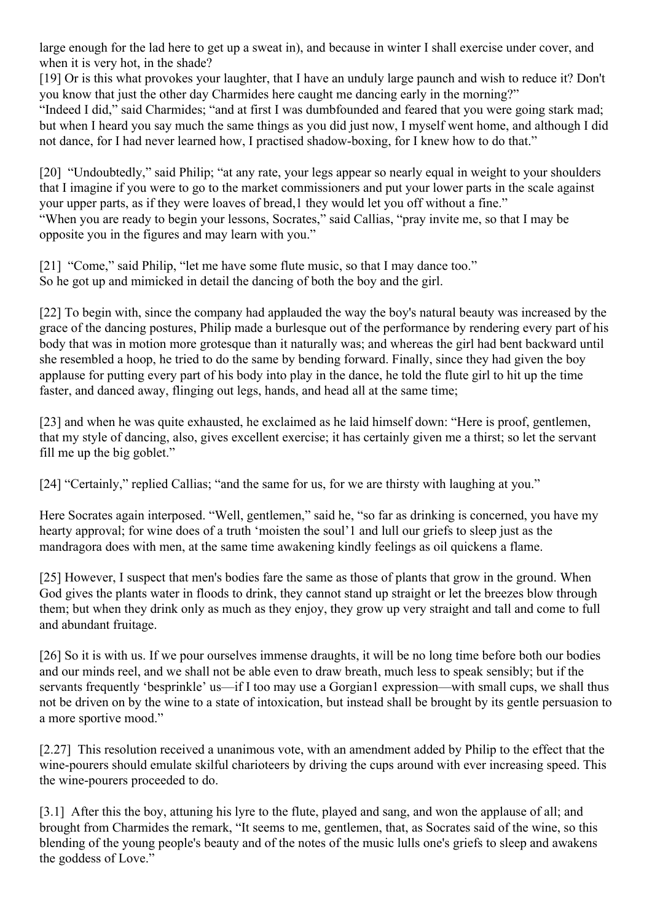large enough for the lad here to get up a sweat in), and because in winter I shall exercise under cover, and when it is very hot, in the shade?

[19] Or is this what provokes your laughter, that I have an unduly large paunch and wish to reduce it? Don't you know that just the other day Charmides here caught me dancing early in the morning?"

"Indeed I did," said Charmides; "and at first I was dumbfounded and feared that you were going stark mad; but when I heard you say much the same things as you did just now, I myself went home, and although I did not dance, for I had never learned how, I practised shadow-boxing, for I knew how to do that."

[20] "Undoubtedly," said Philip; "at any rate, your legs appear so nearly equal in weight to your shoulders that I imagine if you were to go to the market commissioners and put your lower parts in the scale against your upper parts, as if they were loaves of bread,1 they would let you off without a fine." "When you are ready to begin your lessons, Socrates," said Callias, "pray invite me, so that I may be opposite you in the figures and may learn with you."

[21] "Come," said Philip, "let me have some flute music, so that I may dance too." So he got up and mimicked in detail the dancing of both the boy and the girl.

[22] To begin with, since the company had applauded the way the boy's natural beauty was increased by the grace of the dancing postures, Philip made a burlesque out of the performance by rendering every part of his body that was in motion more grotesque than it naturally was; and whereas the girl had bent backward until she resembled a hoop, he tried to do the same by bending forward. Finally, since they had given the boy applause for putting every part of his body into play in the dance, he told the flute girl to hit up the time faster, and danced away, flinging out legs, hands, and head all at the same time;

[23] and when he was quite exhausted, he exclaimed as he laid himself down: "Here is proof, gentlemen, that my style of dancing, also, gives excellent exercise; it has certainly given me a thirst; so let the servant fill me up the big goblet."

[24] "Certainly," replied Callias; "and the same for us, for we are thirsty with laughing at you."

Here Socrates again interposed. "Well, gentlemen," said he, "so far as drinking is concerned, you have my hearty approval; for wine does of a truth 'moisten the soul'1 and lull our griefs to sleep just as the mandragora does with men, at the same time awakening kindly feelings as oil quickens a flame.

[25] However, I suspect that men's bodies fare the same as those of plants that grow in the ground. When God gives the plants water in floods to drink, they cannot stand up straight or let the breezes blow through them; but when they drink only as much as they enjoy, they grow up very straight and tall and come to full and abundant fruitage.

[26] So it is with us. If we pour ourselves immense draughts, it will be no long time before both our bodies and our minds reel, and we shall not be able even to draw breath, much less to speak sensibly; but if the servants frequently 'besprinkle' us—if I too may use a Gorgian1 expression—with small cups, we shall thus not be driven on by the wine to a state of intoxication, but instead shall be brought by its gentle persuasion to a more sportive mood."

[2.27] This resolution received a unanimous vote, with an amendment added by Philip to the effect that the wine-pourers should emulate skilful charioteers by driving the cups around with ever increasing speed. This the wine-pourers proceeded to do.

[3.1] After this the boy, attuning his lyre to the flute, played and sang, and won the applause of all; and brought from Charmides the remark, "It seems to me, gentlemen, that, as Socrates said of the wine, so this blending of the young people's beauty and of the notes of the music lulls one's griefs to sleep and awakens the goddess of Love."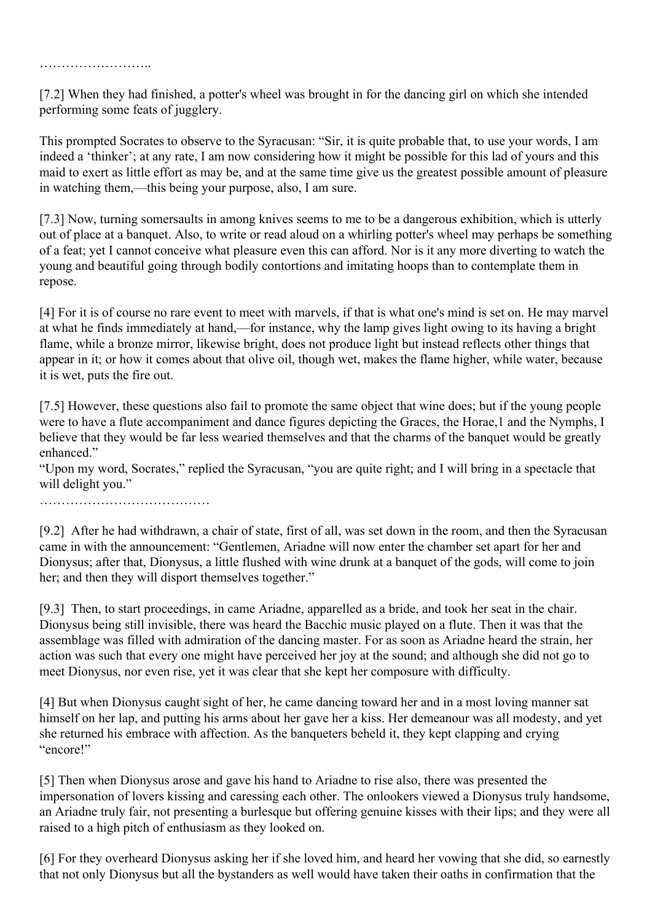[7.2] When they had finished, a potter's wheel was brought in for the dancing girl on which she intended performing some feats of jugglery.

This prompted Socrates to observe to the Syracusan: "Sir, it is quite probable that, to use your words, I am indeed a 'thinker'; at any rate, I am now considering how it might be possible for this lad of yours and this maid to exert as little effort as may be, and at the same time give us the greatest possible amount of pleasure in watching them,—this being your purpose, also, I am sure.

[7.3] Now, turning somersaults in among knives seems to me to be a dangerous exhibition, which is utterly out of place at a banquet. Also, to write or read aloud on a whirling potter's wheel may perhaps be something of a feat; yet I cannot conceive what pleasure even this can afford. Nor is it any more diverting to watch the young and beautiful going through bodily contortions and imitating hoops than to contemplate them in repose.

[4] For it is of course no rare event to meet with marvels, if that is what one's mind is set on. He may marvel at what he finds immediately at hand,—for instance, why the lamp gives light owing to its having a bright flame, while a bronze mirror, likewise bright, does not produce light but instead reflects other things that appear in it; or how it comes about that olive oil, though wet, makes the flame higher, while water, because it is wet, puts the fire out.

[7.5] However, these questions also fail to promote the same object that wine does; but if the young people were to have a flute accompaniment and dance figures depicting the Graces, the Horae,1 and the Nymphs, I believe that they would be far less wearied themselves and that the charms of the banquet would be greatly enhanced."

"Upon my word, Socrates," replied the Syracusan, "you are quite right; and I will bring in a spectacle that will delight you."

…………………………………

[9.2] After he had withdrawn, a chair of state, first of all, was set down in the room, and then the Syracusan came in with the announcement: "Gentlemen, Ariadne will now enter the chamber set apart for her and Dionysus; after that, Dionysus, a little flushed with wine drunk at a banquet of the gods, will come to join her; and then they will disport themselves together."

[9.3] Then, to start proceedings, in came Ariadne, apparelled as a bride, and took her seat in the chair. Dionysus being still invisible, there was heard the Bacchic music played on a flute. Then it was that the assemblage was filled with admiration of the dancing master. For as soon as Ariadne heard the strain, her action was such that every one might have perceived her joy at the sound; and although she did not go to meet Dionysus, nor even rise, yet it was clear that she kept her composure with difficulty.

[4] But when Dionysus caught sight of her, he came dancing toward her and in a most loving manner sat himself on her lap, and putting his arms about her gave her a kiss. Her demeanour was all modesty, and yet she returned his embrace with affection. As the banqueters beheld it, they kept clapping and crying "encore!"

[5] Then when Dionysus arose and gave his hand to Ariadne to rise also, there was presented the impersonation of lovers kissing and caressing each other. The onlookers viewed a Dionysus truly handsome, an Ariadne truly fair, not presenting a burlesque but offering genuine kisses with their lips; and they were all raised to a high pitch of enthusiasm as they looked on.

[6] For they overheard Dionysus asking her if she loved him, and heard her vowing that she did, so earnestly that not only Dionysus but all the bystanders as well would have taken their oaths in confirmation that the